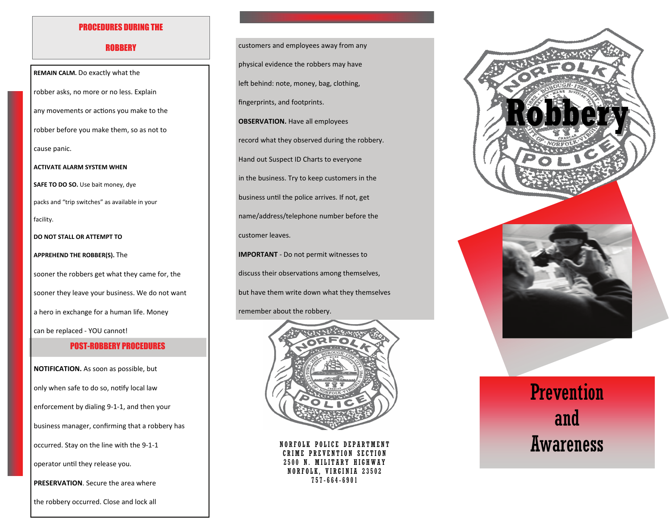#### PROCEDURES DURING THE

#### **ROBBERY**

POST-ROBBERY PROCEDURES**REMAIN CALM.** Do exactly what the robber asks, no more or no less. Explain any movements or actions you make to the robber before you make them, so as not to cause panic. **ACTIVATE ALARM SYSTEM WHEN SAFE TO DO SO.** Use bait money, dye packs and "trip switches" as available in your facility. **DO NOT STALL OR ATTEMPT TO APPREHEND THE ROBBER(S).** The sooner the robbers get what they came for, the sooner they leave your business. We do not want a hero in exchange for <sup>a</sup> human life. Money can be replaced ‐ YOU cannot!

**NOTIFICATION.** As soon as possible, but only when safe to do so, notify local law enforcement by dialing 9‐1‐1, and then your business manager, confirming that <sup>a</sup> robbery has occurred. Stay on the line with the 9‐1‐1

operator until they release you.

**PRESERVATION**. Secure the area where

the robbery occurred. Close and lock all

customers and employees away from any physical evidence the robbers may have left behind: note, money, bag, clothing, fingerprints, and footprints. **OBSERVATION.** Have all employees record what they observed during the robbery. Hand out Suspect ID Charts to everyone in the business. Try to keep customers in the business unƟl the police arrives. If not, get name/address/telephone number before the customer leaves. **IMPORTANT** ‐ Do not permit witnesses to discuss their observations among themselves, but have them write down what they themselves remember about the robbery.



NORFOLK POLICE DEPARTMENT E PREVENTION SECTION 2500 N. MILITARY HIGHWAY NORFOLK, VIRGINIA 23502 757-664-6901



# **Prevention** and Awareness